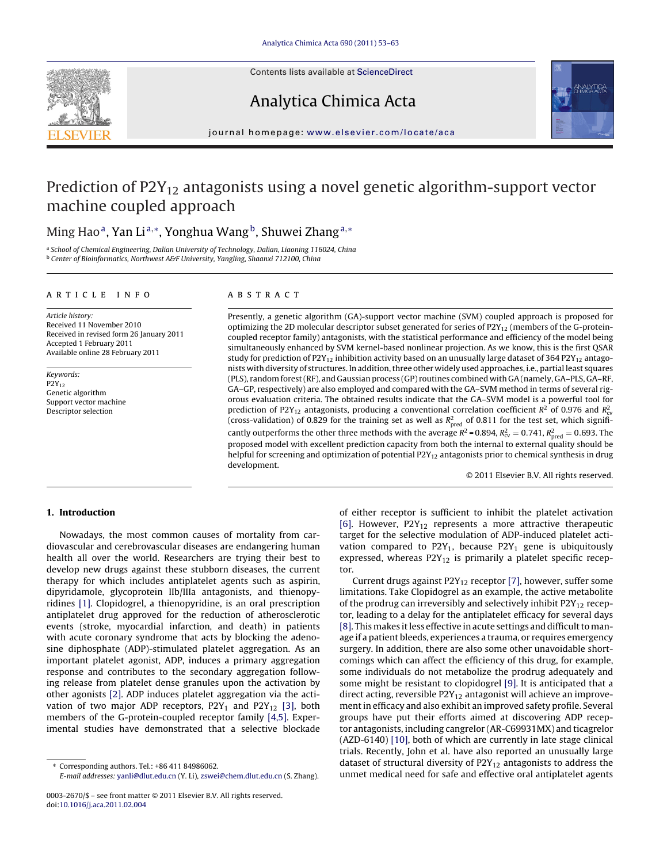

Contents lists available at [ScienceDirect](http://www.sciencedirect.com/science/journal/00032670)

# Analytica Chimica Acta



journal homepage: [www.elsevier.com/locate/aca](http://www.elsevier.com/locate/aca)

# Prediction of P2Y<sub>12</sub> antagonists using a novel genetic algorithm-support vector machine coupled approach

# Ming Hao<sup>a</sup>, Yan Li<sup>a,∗</sup>, Yonghua Wang<sup>b</sup>, Shuwei Zhang<sup>a,∗</sup>

a School of Chemical Engineering, Dalian University of Technology, Dalian, Liaoning 116024, China <sup>b</sup> Center of Bioinformatics, Northwest A&F University, Yangling, Shaanxi 712100, China

#### article info

Article history: Received 11 November 2010 Received in revised form 26 January 2011 Accepted 1 February 2011 Available online 28 February 2011

Keywords:  $P2V_{12}$ Genetic algorithm Support vector machine Descriptor selection

#### **ABSTRACT**

Presently, a genetic algorithm (GA)-support vector machine (SVM) coupled approach is proposed for optimizing the 2D molecular descriptor subset generated for series of  $P2Y_{12}$  (members of the G-proteincoupled receptor family) antagonists, with the statistical performance and efficiency of the model being simultaneously enhanced by SVM kernel-based nonlinear projection. As we know, this is the first QSAR study for prediction of P2Y<sub>12</sub> inhibition activity based on an unusually large dataset of 364 P2Y<sub>12</sub> antagonists with diversity of structures. In addition, three other widely used approaches, i.e., partial least squares (PLS), random forest (RF), and Gaussian process (GP) routines combined with GA (namely, GA–PLS, GA–RF, GA–GP, respectively) are also employed and compared with the GA–SVM method in terms of several rigorous evaluation criteria. The obtained results indicate that the GA–SVM model is a powerful tool for prediction of P2Y<sub>12</sub> antagonists, producing a conventional correlation coefficient  $R^2$  of 0.976 and  $R_{\rm cv}^2$ (cross-validation) of 0.829 for the training set as well as  $R^2_{\rm pred}$  of 0.811 for the test set, which significantly outperforms the other three methods with the average R<sup>2</sup> = 0.894, R<sub>cv</sub> = 0.741, R<sub>pred</sub> = 0.693. The proposed model with excellent prediction capacity from both the internal to external quality should be helpful for screening and optimization of potential P2Y<sub>12</sub> antagonists prior to chemical synthesis in drug development.

© 2011 Elsevier B.V. All rights reserved.

# **1. Introduction**

Nowadays, the most common causes of mortality from cardiovascular and cerebrovascular diseases are endangering human health all over the world. Researchers are trying their best to develop new drugs against these stubborn diseases, the current therapy for which includes antiplatelet agents such as aspirin, dipyridamole, glycoprotein IIb/IIIa antagonists, and thienopyridines [\[1\].](#page-9-0) Clopidogrel, a thienopyridine, is an oral prescription antiplatelet drug approved for the reduction of atherosclerotic events (stroke, myocardial infarction, and death) in patients with acute coronary syndrome that acts by blocking the adenosine diphosphate (ADP)-stimulated platelet aggregation. As an important platelet agonist, ADP, induces a primary aggregation response and contributes to the secondary aggregation following release from platelet dense granules upon the activation by other agonists [\[2\].](#page-9-0) ADP induces platelet aggregation via the activation of two major ADP receptors,  $P2Y_1$  and  $P2Y_{12}$  [\[3\],](#page-9-0) both members of the G-protein-coupled receptor family [\[4,5\]. E](#page-9-0)xperimental studies have demonstrated that a selective blockade

of either receptor is sufficient to inhibit the platelet activation [\[6\].](#page-9-0) However,  $P2Y_{12}$  represents a more attractive therapeutic target for the selective modulation of ADP-induced platelet activation compared to  $P2Y_1$ , because  $P2Y_1$  gene is ubiquitously expressed, whereas  $P2Y_{12}$  is primarily a platelet specific receptor.

Current drugs against  $P2Y_{12}$  receptor [\[7\], h](#page-9-0)owever, suffer some limitations. Take Clopidogrel as an example, the active metabolite of the prodrug can irreversibly and selectively inhibit  $P2Y_{12}$  receptor, leading to a delay for the antiplatelet efficacy for several days [\[8\]. T](#page-9-0)his makes it less effective in acute settings and difficult to manage if a patient bleeds, experiences a trauma, or requires emergency surgery. In addition, there are also some other unavoidable shortcomings which can affect the efficiency of this drug, for example, some individuals do not metabolize the prodrug adequately and some might be resistant to clopidogrel [\[9\]. I](#page-9-0)t is anticipated that a direct acting, reversible  $P2Y_{12}$  antagonist will achieve an improvement in efficacy and also exhibit an improved safety profile. Several groups have put their efforts aimed at discovering ADP receptor antagonists, including cangrelor (AR-C69931MX) and ticagrelor (AZD-6140) [\[10\], b](#page-9-0)oth of which are currently in late stage clinical trials. Recently, John et al. have also reported an unusually large dataset of structural diversity of  $P2Y_{12}$  antagonists to address the unmet medical need for safe and effective oral antiplatelet agents

<sup>∗</sup> Corresponding authors. Tel.: +86 411 84986062.

E-mail addresses: [yanli@dlut.edu.cn](mailto:yanli@dlut.edu.cn) (Y. Li), [zswei@chem.dlut.edu.cn](mailto:zswei@chem.dlut.edu.cn) (S. Zhang).

<sup>0003-2670/\$ –</sup> see front matter © 2011 Elsevier B.V. All rights reserved. doi:[10.1016/j.aca.2011.02.004](dx.doi.org/10.1016/j.aca.2011.02.004)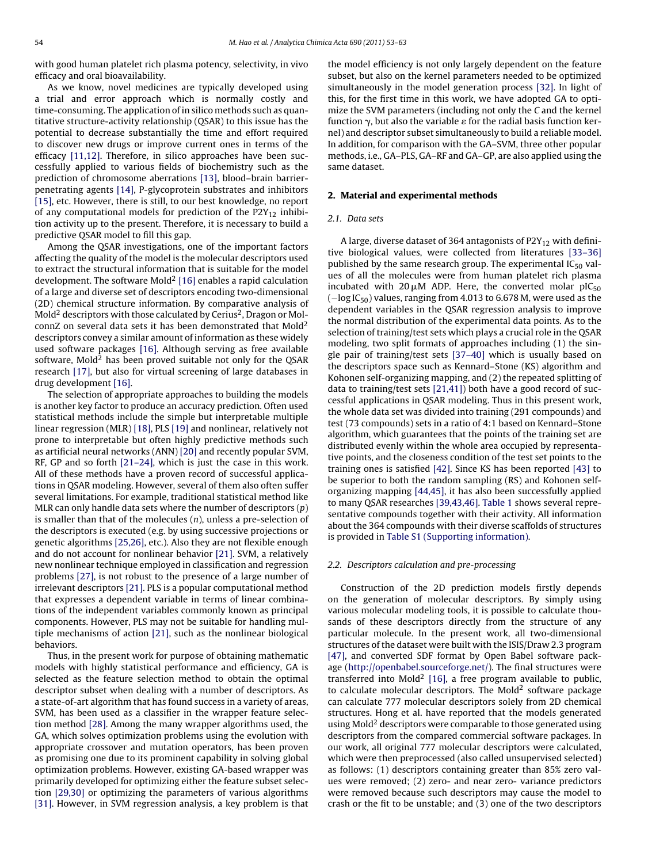with good human platelet rich plasma potency, selectivity, in vivo efficacy and oral bioavailability.

As we know, novel medicines are typically developed using a trial and error approach which is normally costly and time-consuming. The application of in silico methods such as quantitative structure-activity relationship (QSAR) to this issue has the potential to decrease substantially the time and effort required to discover new drugs or improve current ones in terms of the efficacy [\[11,12\].](#page-9-0) Therefore, in silico approaches have been successfully applied to various fields of biochemistry such as the prediction of chromosome aberrations [\[13\], b](#page-9-0)lood–brain barrierpenetrating agents [\[14\], P](#page-9-0)-glycoprotein substrates and inhibitors [\[15\], e](#page-9-0)tc. However, there is still, to our best knowledge, no report of any computational models for prediction of the  $P2Y_{12}$  inhibition activity up to the present. Therefore, it is necessary to build a predictive QSAR model to fill this gap.

Among the QSAR investigations, one of the important factors affecting the quality of the model is the molecular descriptors used to extract the structural information that is suitable for the model development. The software Mold<sup>2</sup> [\[16\]](#page-9-0) enables a rapid calculation of a large and diverse set of descriptors encoding two-dimensional (2D) chemical structure information. By comparative analysis of Mold<sup>2</sup> descriptors with those calculated by Cerius<sup>2</sup>, Dragon or MolconnZ on several data sets it has been demonstrated that Mold<sup>2</sup> descriptors convey a similar amount of information as these widely used software packages [\[16\].](#page-9-0) Although serving as free available software, Mold<sup>2</sup> has been proved suitable not only for the QSAR research [\[17\], b](#page-9-0)ut also for virtual screening of large databases in drug development [\[16\].](#page-9-0)

The selection of appropriate approaches to building the models is another key factor to produce an accuracy prediction. Often used statistical methods include the simple but interpretable multiple linear regression (MLR) [\[18\], P](#page-9-0)LS [\[19\]](#page-9-0) and nonlinear, relatively not prone to interpretable but often highly predictive methods such as artificial neural networks (ANN) [\[20\]](#page-9-0) and recently popular SVM, RF, GP and so forth [\[21–24\], w](#page-9-0)hich is just the case in this work. All of these methods have a proven record of successful applications in QSAR modeling. However, several of them also often suffer several limitations. For example, traditional statistical method like MLR can only handle data sets where the number of descriptors  $(p)$ is smaller than that of the molecules  $(n)$ , unless a pre-selection of the descriptors is executed (e.g. by using successive projections or genetic algorithms [\[25,26\], e](#page-9-0)tc.). Also they are not flexible enough and do not account for nonlinear behavior [\[21\]. S](#page-9-0)VM, a relatively new nonlinear technique employed in classification and regression problems [\[27\], i](#page-9-0)s not robust to the presence of a large number of irrelevant descriptors [\[21\]. P](#page-9-0)LS is a popular computational method that expresses a dependent variable in terms of linear combinations of the independent variables commonly known as principal components. However, PLS may not be suitable for handling multiple mechanisms of action [\[21\],](#page-9-0) such as the nonlinear biological behaviors.

Thus, in the present work for purpose of obtaining mathematic models with highly statistical performance and efficiency, GA is selected as the feature selection method to obtain the optimal descriptor subset when dealing with a number of descriptors. As a state-of-art algorithm that has found success in a variety of areas, SVM, has been used as a classifier in the wrapper feature selection method [\[28\]. A](#page-9-0)mong the many wrapper algorithms used, the GA, which solves optimization problems using the evolution with appropriate crossover and mutation operators, has been proven as promising one due to its prominent capability in solving global optimization problems. However, existing GA-based wrapper was primarily developed for optimizing either the feature subset selection [\[29,30\]](#page-9-0) or optimizing the parameters of various algorithms [\[31\].](#page-9-0) However, in SVM regression analysis, a key problem is that the model efficiency is not only largely dependent on the feature subset, but also on the kernel parameters needed to be optimized simultaneously in the model generation process [\[32\]. I](#page-9-0)n light of this, for the first time in this work, we have adopted GA to optimize the SVM parameters (including not only the C and the kernel function  $\gamma$ , but also the variable  $\varepsilon$  for the radial basis function kernel) and descriptor subset simultaneously to build a reliable model. In addition, for comparison with the GA–SVM, three other popular methods, i.e., GA–PLS, GA–RF and GA–GP, are also applied using the same dataset.

### **2. Material and experimental methods**

#### 2.1. Data sets

A large, diverse dataset of 364 antagonists of  $P2Y_{12}$  with definitive biological values, were collected from literatures [\[33–36\]](#page-9-0) published by the same research group. The experimental  $IC_{50}$  values of all the molecules were from human platelet rich plasma incubated with 20  $\mu$ M ADP. Here, the converted molar pIC<sub>50</sub>  $(-\log$  IC<sub>50</sub>) values, ranging from 4.013 to 6.678 M, were used as the dependent variables in the QSAR regression analysis to improve the normal distribution of the experimental data points. As to the selection of training/test sets which plays a crucial role in the QSAR modeling, two split formats of approaches including (1) the single pair of training/test sets [\[37–40\]](#page-9-0) which is usually based on the descriptors space such as Kennard–Stone (KS) algorithm and Kohonen self-organizing mapping, and (2) the repeated splitting of data to training/test sets [\[21,41\]\)](#page-9-0) both have a good record of successful applications in QSAR modeling. Thus in this present work, the whole data set was divided into training (291 compounds) and test (73 compounds) sets in a ratio of 4:1 based on Kennard–Stone algorithm, which guarantees that the points of the training set are distributed evenly within the whole area occupied by representative points, and the closeness condition of the test set points to the training ones is satisfied [\[42\]. S](#page-9-0)ince KS has been reported [\[43\]](#page-9-0) to be superior to both the random sampling (RS) and Kohonen selforganizing mapping [\[44,45\],](#page-9-0) it has also been successfully applied to many QSAR researches [\[39,43,46\].](#page-9-0) [Table 1](#page-2-0) shows several representative compounds together with their activity. All information about the 364 compounds with their diverse scaffolds of structures is provided in [Table S1 \(Supporting information\).](#page-9-0)

#### 2.2. Descriptors calculation and pre-processing

Construction of the 2D prediction models firstly depends on the generation of molecular descriptors. By simply using various molecular modeling tools, it is possible to calculate thousands of these descriptors directly from the structure of any particular molecule. In the present work, all two-dimensional structures of the dataset were built with the ISIS/Draw 2.3 program [\[47\],](#page-9-0) and converted SDF format by Open Babel software package [\(http://openbabel.sourceforge.net/\)](http://openbabel.sourceforge.net/). The final structures were transferred into Mold<sup>2</sup> [\[16\],](#page-9-0) a free program available to public, to calculate molecular descriptors. The Mold<sup>2</sup> software package can calculate 777 molecular descriptors solely from 2D chemical structures. Hong et al. have reported that the models generated using Mold<sup>2</sup> descriptors were comparable to those generated using descriptors from the compared commercial software packages. In our work, all original 777 molecular descriptors were calculated, which were then preprocessed (also called unsupervised selected) as follows: (1) descriptors containing greater than 85% zero values were removed; (2) zero- and near zero- variance predictors were removed because such descriptors may cause the model to crash or the fit to be unstable; and (3) one of the two descriptors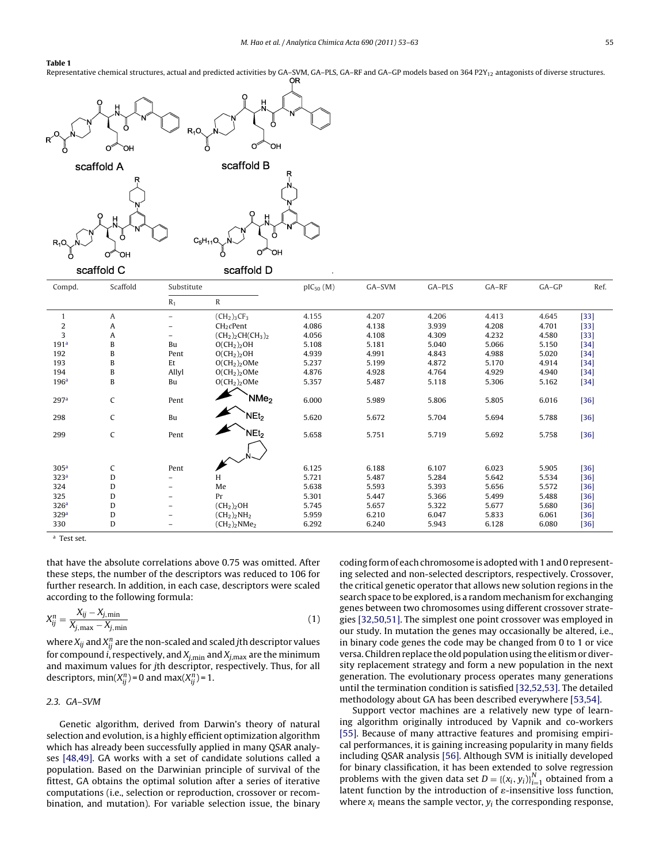#### <span id="page-2-0"></span>**Table 1**

Representative chemical structures, actual and predicted activities by GA-SVM, GA-PLS, GA-RF and GA-GP models based on 364 P2Y<sub>12</sub> antagonists of diverse structures.



| Compd.           | Scaffold     | Substitute        |                                      | $pIC_{50}$ (M) | GA-SVM | GA-PLS | $GA-RF$ | $GA-GP$ | Ref.   |
|------------------|--------------|-------------------|--------------------------------------|----------------|--------|--------|---------|---------|--------|
|                  |              | $R_1$             | ${\mathbb R}$                        |                |        |        |         |         |        |
| 1                | Α            | -                 | $(CH2)3CF3$                          | 4.155          | 4.207  | 4.206  | 4.413   | 4.645   | $[33]$ |
| $\overline{c}$   | Α            | -                 | $CH2$ <i>c</i> Pent                  | 4.086          | 4.138  | 3.939  | 4.208   | 4.701   | $[33]$ |
| 3                | Α            | -                 | $(CH2)2CH(CH3)2$                     | 4.056          | 4.108  | 4.309  | 4.232   | 4.580   | $[33]$ |
| 191 <sup>a</sup> | B            | Bu                | O(CH <sub>2</sub> ) <sub>2</sub> OH  | 5.108          | 5.181  | 5.040  | 5.066   | 5.150   | $[34]$ |
| 192              | B            | Pent              | $O(CH_2)_2OH$                        | 4.939          | 4.991  | 4.843  | 4.988   | 5.020   | $[34]$ |
| 193              | B            | Et                | O(CH <sub>2</sub> ) <sub>2</sub> OMe | 5.237          | 5.199  | 4.872  | 5.170   | 4.914   | $[34]$ |
| 194              | B            | Allyl             | O(CH <sub>2</sub> ) <sub>2</sub> OMe | 4.876          | 4.928  | 4.764  | 4.929   | 4.940   | $[34]$ |
| 196 <sup>a</sup> | $\, {\bf B}$ | Bu                | O(CH <sub>2</sub> ) <sub>2</sub> OMe | 5.357          | 5.487  | 5.118  | 5.306   | 5.162   | $[34]$ |
| 297a             | C            | Pent              | NMe <sub>2</sub>                     | 6.000          | 5.989  | 5.806  | 5.805   | 6.016   | $[36]$ |
| 298              | C            | Bu                | NEt <sub>2</sub>                     | 5.620          | 5.672  | 5.704  | 5.694   | 5.788   | $[36]$ |
| 299              | C            | Pent              | NE <sub>t<sub>2</sub></sub>          | 5.658          | 5.751  | 5.719  | 5.692   | 5.758   | $[36]$ |
|                  |              |                   |                                      |                |        |        |         |         |        |
| 305 <sup>a</sup> | C            | Pent              |                                      | 6.125          | 6.188  | 6.107  | 6.023   | 5.905   | $[36]$ |
| 323 <sup>a</sup> | D            | -                 | H                                    | 5.721          | 5.487  | 5.284  | 5.642   | 5.534   | $[36]$ |
| 324              | D            | $\qquad \qquad -$ | Me                                   | 5.638          | 5.593  | 5.393  | 5.656   | 5.572   | $[36]$ |
| 325              | D            | Ξ.                | Pr                                   | 5.301          | 5.447  | 5.366  | 5.499   | 5.488   | $[36]$ |
| 326 <sup>a</sup> | D            | -                 | (CH <sub>2</sub> ) <sub>2</sub> OH   | 5.745          | 5.657  | 5.322  | 5.677   | 5.680   | $[36]$ |
| 329a             | D            |                   | $(CH_2)_2NH_2$                       | 5.959          | 6.210  | 6.047  | 5.833   | 6.061   | $[36]$ |
| 330              | D            | -                 | $(CH_2)_2NMe_2$                      | 6.292          | 6.240  | 5.943  | 6.128   | 6.080   | $[36]$ |

.

<sup>a</sup> Test set.

that have the absolute correlations above 0.75 was omitted. After these steps, the number of the descriptors was reduced to 106 for further research. In addition, in each case, descriptors were scaled according to the following formula:

$$
X_{ij}^n = \frac{X_{ij} - X_{j,\text{min}}}{X_{j,\text{max}} - X_{j,\text{min}}} \tag{1}
$$

where  $X_{ij}$  and  $X_{ij}^n$  are the non-scaled and scaled  $j$ th descriptor values for compound *i*, respectively, and  $X_{j,\text{min}}$  and  $X_{j,\text{max}}$  are the minimum and maximum values for jth descriptor, respectively. Thus, for all descriptors,  $min(X_{ij}^n) = 0$  and  $max(X_{ij}^n) = 1$ .

### 2.3. GA–SVM

Genetic algorithm, derived from Darwin's theory of natural selection and evolution, is a highly efficient optimization algorithm which has already been successfully applied in many QSAR analyses [\[48,49\].](#page-9-0) GA works with a set of candidate solutions called a population. Based on the Darwinian principle of survival of the fittest, GA obtains the optimal solution after a series of iterative computations (i.e., selection or reproduction, crossover or recombination, and mutation). For variable selection issue, the binary

coding form of each chromosome is adopted with 1 and 0 representing selected and non-selected descriptors, respectively. Crossover, the critical genetic operator that allows new solution regions in the search space to be explored, is a random mechanism for exchanging genes between two chromosomes using different crossover strategies [\[32,50,51\]. T](#page-9-0)he simplest one point crossover was employed in our study. In mutation the genes may occasionally be altered, i.e., in binary code genes the code may be changed from 0 to 1 or vice versa. Children replace the old population using the elitism or diversity replacement strategy and form a new population in the next generation. The evolutionary process operates many generations until the termination condition is satisfied [\[32,52,53\]. T](#page-9-0)he detailed methodology about GA has been described everywhere [\[53,54\].](#page-9-0)

Support vector machines are a relatively new type of learning algorithm originally introduced by Vapnik and co-workers [\[55\]. B](#page-9-0)ecause of many attractive features and promising empirical performances, it is gaining increasing popularity in many fields including QSAR analysis [\[56\]. A](#page-9-0)lthough SVM is initially developed for binary classification, it has been extended to solve regression problems with the given data set  $D = \{(x_i, y_i)\}_{i=1}^N$  obtained from a latent function by the introduction of  $\varepsilon$ -insensitive loss function, where  $x_i$  means the sample vector,  $y_i$  the corresponding response,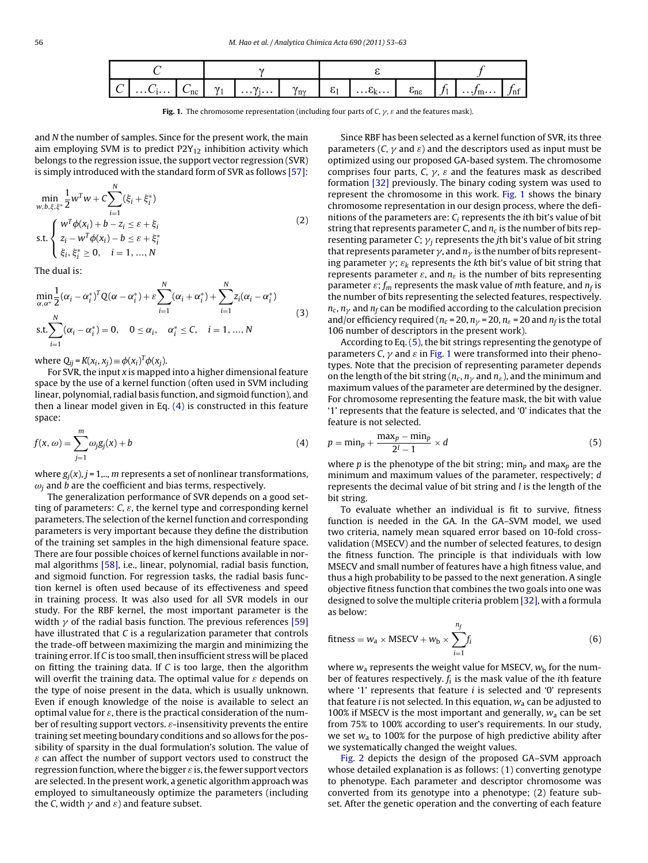<span id="page-3-0"></span>

| $\sim$<br>U | $\cdots$ $\cup$ $\cdots$ | $C_{nc}$ | $\gamma_1$ | $\gamma$<br>. 1<br>. | $\sim$<br>$^{\prime}$ n $\gamma$ | $\varepsilon_1$ | $\ldots \varepsilon_k \ldots$ | $\epsilon_{\text{nc}}$ |  | $\cdots$ / $m \cdots$ | ./nt |
|-------------|--------------------------|----------|------------|----------------------|----------------------------------|-----------------|-------------------------------|------------------------|--|-----------------------|------|

**Fig. 1.** The chromosome representation (including four parts of C,  $\gamma$ ,  $\varepsilon$  and the features mask).

and N the number of samples. Since for the present work, the main aim employing SVM is to predict  $P2Y_{12}$  inhibition activity which belongs to the regression issue, the support vector regression (SVR) is simply introduced with the standard form of SVR as follows [\[57\]:](#page-9-0)

$$
\min_{w,b,\xi,\xi^{*}} \frac{1}{2} w^{T} w + C \sum_{i=1}^{N} (\xi_{i} + \xi_{i}^{*})
$$
\n
$$
\text{s.t.} \begin{cases}\n w^{T} \phi(x_{i}) + b - z_{i} \leq \varepsilon + \xi_{i} \\
z_{i} - w^{T} \phi(x_{i}) - b \leq \varepsilon + \xi_{i}^{*} \\
\xi_{i}, \xi_{i}^{*} \geq 0, \quad i = 1, ..., N\n\end{cases} (2)
$$

The dual is:

$$
\min_{\alpha,\alpha^*} \frac{1}{2} (\alpha_i - \alpha_i^*)^T Q (\alpha - \alpha_i^*) + \varepsilon \sum_{i=1}^N (\alpha_i + \alpha_i^*) + \sum_{i=1}^N z_i (\alpha_i - \alpha_i^*)
$$
\n
$$
\text{s.t.} \sum_{i=1}^N (\alpha_i - \alpha_i^*) = 0, \quad 0 \le \alpha_i, \quad \alpha_i^* \le C, \quad i = 1, ..., N
$$
\n
$$
(3)
$$

where  $Q_{ij} = K(x_i, x_j) \equiv \phi(x_i)^T \phi(x_i)$ .

For SVR, the input  $x$  is mapped into a higher dimensional feature space by the use of a kernel function (often used in SVM including linear, polynomial, radial basis function, and sigmoid function), and then a linear model given in Eq. (4) is constructed in this feature space:

$$
f(x, \omega) = \sum_{j=1}^{m} \omega_j g_j(x) + b \tag{4}
$$

where  $g_i(x)$ ,  $j = 1, \ldots, m$  represents a set of nonlinear transformations,  $\omega_i$  and b are the coefficient and bias terms, respectively.

The generalization performance of SVR depends on a good setting of parameters:  $C$ ,  $\varepsilon$ , the kernel type and corresponding kernel parameters. The selection of the kernel function and corresponding parameters is very important because they define the distribution of the training set samples in the high dimensional feature space. There are four possible choices of kernel functions available in normal algorithms [\[58\], i](#page-9-0).e., linear, polynomial, radial basis function, and sigmoid function. For regression tasks, the radial basis function kernel is often used because of its effectiveness and speed in training process. It was also used for all SVR models in our study. For the RBF kernel, the most important parameter is the width  $\gamma$  of the radial basis function. The previous references [\[59\]](#page-9-0) have illustrated that C is a regularization parameter that controls the trade-off between maximizing the margin and minimizing the training error. If C is too small, then insufficient stress will be placed on fitting the training data. If  $C$  is too large, then the algorithm will overfit the training data. The optimal value for  $\varepsilon$  depends on the type of noise present in the data, which is usually unknown. Even if enough knowledge of the noise is available to select an optimal value for  $\varepsilon$ , there is the practical consideration of the number of resulting support vectors.  $\varepsilon$ -insensitivity prevents the entire training set meeting boundary conditions and so allows for the possibility of sparsity in the dual formulation's solution. The value of  $\varepsilon$  can affect the number of support vectors used to construct the regression function, where the bigger  $\varepsilon$  is, the fewer support vectors are selected. In the present work, a genetic algorithm approach was employed to simultaneously optimize the parameters (including the C, width  $\gamma$  and  $\varepsilon$ ) and feature subset.

Since RBF has been selected as a kernel function of SVR, its three parameters (C,  $\gamma$  and  $\varepsilon$ ) and the descriptors used as input must be optimized using our proposed GA-based system. The chromosome comprises four parts, C,  $\gamma$ ,  $\varepsilon$  and the features mask as described formation [\[32\]](#page-9-0) previously. The binary coding system was used to represent the chromosome in this work. Fig. 1 shows the binary chromosome representation in our design process, where the definitions of the parameters are:  $C_i$  represents the *i*th bit's value of bit string that represents parameter C, and  $n_c$  is the number of bits representing parameter C;  $\gamma_j$  represents the jth bit's value of bit string that represents parameter  $\gamma$ , and  $n_\gamma$  is the number of bits representing parameter  $\gamma;$   $\varepsilon_k$  represents the  $k$ th bit's value of bit string that represents parameter  $\varepsilon$ , and  $n_{\varepsilon}$  is the number of bits representing parameter  $\varepsilon$ ;  $f_m$  represents the mask value of mth feature, and  $n_f$  is the number of bits representing the selected features, respectively.  $n_c$ ,  $n_\gamma$  and  $n_f$  can be modified according to the calculation precision and/or efficiency required ( $n_c$  = 20,  $n_\gamma$  = 20,  $n_\varepsilon$  = 20 and  $n_f$  is the total 106 number of descriptors in the present work).

According to Eq. (5), the bit strings representing the genotype of parameters C,  $\gamma$  and  $\varepsilon$  in Fig. 1 were transformed into their phenotypes. Note that the precision of representing parameter depends on the length of the bit string ( $n_c$ ,  $n_\gamma$  and  $n_\varepsilon$  ), and the minimum and maximum values of the parameter are determined by the designer. For chromosome representing the feature mask, the bit with value '1' represents that the feature is selected, and '0' indicates that the feature is not selected.

$$
p = \min_{p} + \frac{\max_{p} - \min_{p}}{2^{l} - 1} \times d \tag{5}
$$

where p is the phenotype of the bit string;  $\min_p$  and  $\max_p$  are the minimum and maximum values of the parameter, respectively; d represents the decimal value of bit string and  $l$  is the length of the bit string.

To evaluate whether an individual is fit to survive, fitness function is needed in the GA. In the GA–SVM model, we used two criteria, namely mean squared error based on 10-fold crossvalidation (MSECV) and the number of selected features, to design the fitness function. The principle is that individuals with low MSECV and small number of features have a high fitness value, and thus a high probability to be passed to the next generation. A single objective fitness function that combines the two goals into one was designed to solve the multiple criteria problem [\[32\], w](#page-9-0)ith a formula as below:

fitness = 
$$
w_a \times \text{MSECV} + w_b \times \sum_{i=1}^{n_f} f_i
$$
 (6)

where  $w_a$  represents the weight value for MSECV,  $w_b$  for the number of features respectively.  $f_i$  is the mask value of the *i*th feature where '1' represents that feature  $i$  is selected and '0' represents that feature *i* is not selected. In this equation,  $w_a$  can be adjusted to 100% if MSECV is the most important and generally,  $w_a$  can be set from 75% to 100% according to user's requirements. In our study, we set  $w_a$  to 100% for the purpose of high predictive ability after we systematically changed the weight values.

[Fig. 2](#page-4-0) depicts the design of the proposed GA–SVM approach whose detailed explanation is as follows: (1) converting genotype to phenotype. Each parameter and descriptor chromosome was converted from its genotype into a phenotype; (2) feature subset. After the genetic operation and the converting of each feature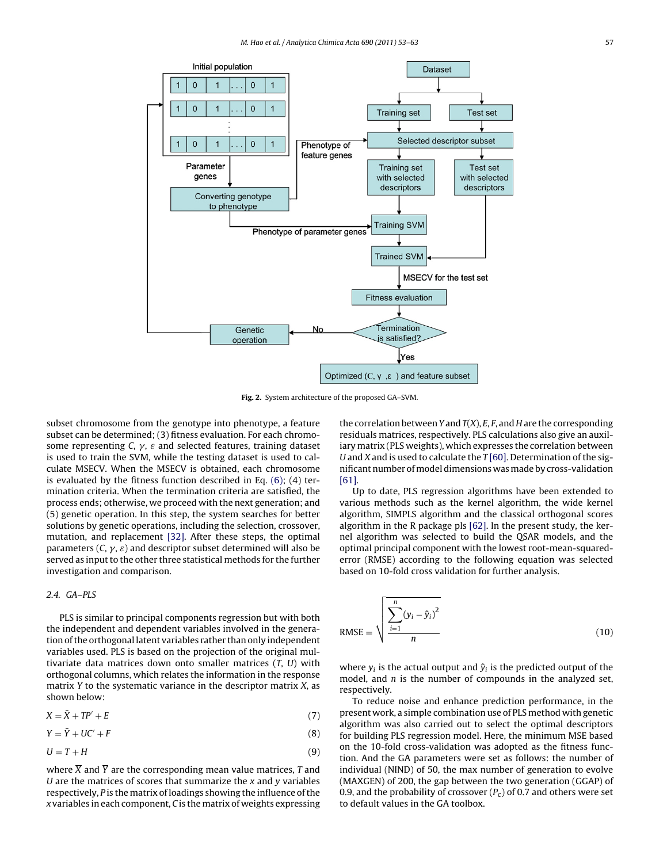<span id="page-4-0"></span>

**Fig. 2.** System architecture of the proposed GA–SVM.

subset chromosome from the genotype into phenotype, a feature subset can be determined; (3) fitness evaluation. For each chromosome representing C,  $\gamma$ ,  $\varepsilon$  and selected features, training dataset is used to train the SVM, while the testing dataset is used to calculate MSECV. When the MSECV is obtained, each chromosome is evaluated by the fitness function described in Eq. [\(6\);](#page-3-0) (4) termination criteria. When the termination criteria are satisfied, the process ends; otherwise, we proceed with the next generation; and (5) genetic operation. In this step, the system searches for better solutions by genetic operations, including the selection, crossover, mutation, and replacement [\[32\].](#page-9-0) After these steps, the optimal parameters (C,  $\gamma$ ,  $\varepsilon$ ) and descriptor subset determined will also be served as input to the other three statistical methods for the further investigation and comparison.

#### 2.4. GA–PLS

PLS is similar to principal components regression but with both the independent and dependent variables involved in the generation of the orthogonal latent variables rather than only independent variables used. PLS is based on the projection of the original multivariate data matrices down onto smaller matrices (T, U) with orthogonal columns, which relates the information in the response matrix Y to the systematic variance in the descriptor matrix X, as shown below:

$$
X = \bar{X} + TP' + E \tag{7}
$$

$$
Y = \bar{Y} + UC' + F \tag{8}
$$

$$
U = T + H \tag{9}
$$

where  $\overline{X}$  and  $\overline{Y}$  are the corresponding mean value matrices, T and U are the matrices of scores that summarize the  $x$  and  $y$  variables respectively, P is the matrix of loadings showing the influence of the x variables in each component, C is the matrix of weights expressing the correlation between Y and  $T(X)$ , E, F, and H are the corresponding residuals matrices, respectively. PLS calculations also give an auxiliary matrix (PLS weights), which expresses the correlation between U and X and is used to calculate the  $T[60]$ . Determination of the significant number ofmodel dimensions wasmade by cross-validation [\[61\].](#page-9-0)

Up to date, PLS regression algorithms have been extended to various methods such as the kernel algorithm, the wide kernel algorithm, SIMPLS algorithm and the classical orthogonal scores algorithm in the R package pls [\[62\]. I](#page-9-0)n the present study, the kernel algorithm was selected to build the QSAR models, and the optimal principal component with the lowest root-mean-squarederror (RMSE) according to the following equation was selected based on 10-fold cross validation for further analysis.

$$
RMSE = \sqrt{\frac{\sum_{i=1}^{n} (y_i - \hat{y}_i)^2}{n}}
$$
 (10)

where  $y_i$  is the actual output and  $\hat{y}_i$  is the predicted output of the model, and  $n$  is the number of compounds in the analyzed set, respectively.

To reduce noise and enhance prediction performance, in the present work, a simple combination use of PLS method with genetic algorithm was also carried out to select the optimal descriptors for building PLS regression model. Here, the minimum MSE based on the 10-fold cross-validation was adopted as the fitness function. And the GA parameters were set as follows: the number of individual (NIND) of 50, the max number of generation to evolve (MAXGEN) of 200, the gap between the two generation (GGAP) of 0.9, and the probability of crossover  $(P_c)$  of 0.7 and others were set to default values in the GA toolbox.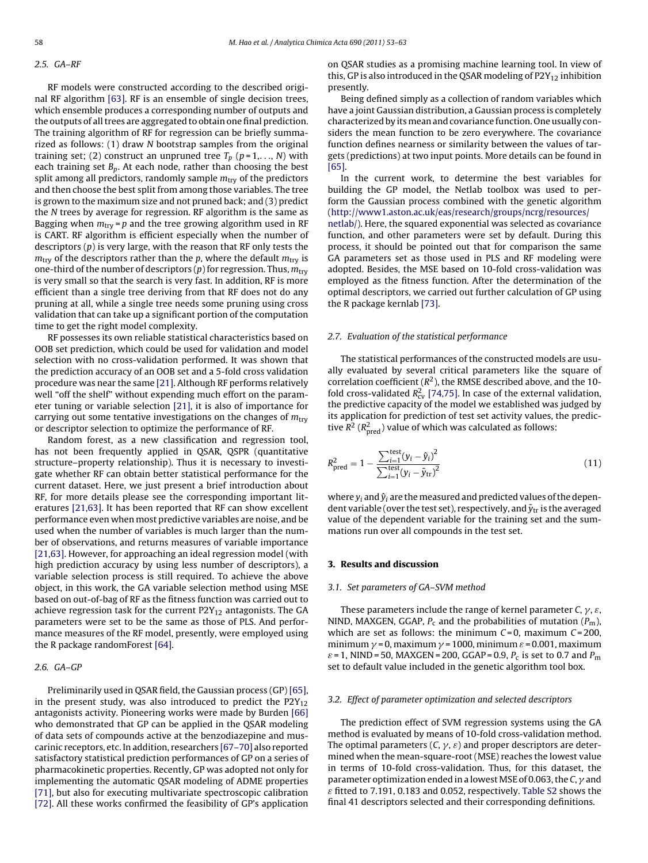### 2.5. GA–RF

RF models were constructed according to the described original RF algorithm [\[63\]. R](#page-9-0)F is an ensemble of single decision trees, which ensemble produces a corresponding number of outputs and the outputs of all trees are aggregated to obtain one final prediction. The training algorithm of RF for regression can be briefly summarized as follows: (1) draw N bootstrap samples from the original training set; (2) construct an unpruned tree  $T_p$  ( $p = 1, \ldots, N$ ) with each training set  $B_p$ . At each node, rather than choosing the best split among all predictors, randomly sample  $m_{\text{trv}}$  of the predictors and then choose the best split from among those variables. The tree is grown to the maximum size and not pruned back; and (3) predict the N trees by average for regression. RF algorithm is the same as Bagging when  $m_{\text{trv}} = p$  and the tree growing algorithm used in RF is CART. RF algorithm is efficient especially when the number of descriptors  $(p)$  is very large, with the reason that RF only tests the  $m_{\text{trv}}$  of the descriptors rather than the p, where the default  $m_{\text{trv}}$  is one-third of the number of descriptors  $(p)$  for regression. Thus,  $m_{\text{trv}}$ is very small so that the search is very fast. In addition, RF is more efficient than a single tree deriving from that RF does not do any pruning at all, while a single tree needs some pruning using cross validation that can take up a significant portion of the computation time to get the right model complexity.

RF possesses its own reliable statistical characteristics based on OOB set prediction, which could be used for validation and model selection with no cross-validation performed. It was shown that the prediction accuracy of an OOB set and a 5-fold cross validation procedure was near the same [\[21\]. A](#page-9-0)lthough RF performs relatively well "off the shelf" without expending much effort on the parameter tuning or variable selection [\[21\], i](#page-9-0)t is also of importance for carrying out some tentative investigations on the changes of  $m_{\text{trv}}$ or descriptor selection to optimize the performance of RF.

Random forest, as a new classification and regression tool, has not been frequently applied in QSAR, QSPR (quantitative structure–property relationship). Thus it is necessary to investigate whether RF can obtain better statistical performance for the current dataset. Here, we just present a brief introduction about RF, for more details please see the corresponding important literatures [\[21,63\]. I](#page-9-0)t has been reported that RF can show excellent performance even when most predictive variables are noise, and be used when the number of variables is much larger than the number of observations, and returns measures of variable importance [\[21,63\]. H](#page-9-0)owever, for approaching an ideal regression model (with high prediction accuracy by using less number of descriptors), a variable selection process is still required. To achieve the above object, in this work, the GA variable selection method using MSE based on out-of-bag of RF as the fitness function was carried out to achieve regression task for the current  $P2Y_{12}$  antagonists. The GA parameters were set to be the same as those of PLS. And performance measures of the RF model, presently, were employed using the R package randomForest [\[64\].](#page-9-0)

# 2.6. GA–GP

Preliminarily used in QSAR field, the Gaussian process (GP) [\[65\],](#page-9-0) in the present study, was also introduced to predict the  $P2Y_{12}$ antagonists activity. Pioneering works were made by Burden [\[66\]](#page-9-0) who demonstrated that GP can be applied in the QSAR modeling of data sets of compounds active at the benzodiazepine and muscarinic receptors, etc. In addition, researchers [\[67–70\]](#page-9-0) also reported satisfactory statistical prediction performances of GP on a series of pharmacokinetic properties. Recently, GP was adopted not only for implementing the automatic QSAR modeling of ADME properties [\[71\], b](#page-9-0)ut also for executing multivariate spectroscopic calibration [\[72\].](#page-9-0) All these works confirmed the feasibility of GP's application on QSAR studies as a promising machine learning tool. In view of this, GP is also introduced in the QSAR modeling of  $P2Y_{12}$  inhibition presently.

Being defined simply as a collection of random variables which have a joint Gaussian distribution, a Gaussian process is completely characterized by itsmean and covariance function. One usually considers the mean function to be zero everywhere. The covariance function defines nearness or similarity between the values of targets (predictions) at two input points. More details can be found in [\[65\].](#page-9-0)

In the current work, to determine the best variables for building the GP model, the Netlab toolbox was used to perform the Gaussian process combined with the genetic algorithm [\(http://www1.aston.ac.uk/eas/research/groups/ncrg/resources/](http://www1.aston.ac.uk/eas/research/groups/ncrg/resources/netlab/) netlab/). Here, the squared exponential was selected as covariance function, and other parameters were set by default. During this process, it should be pointed out that for comparison the same GA parameters set as those used in PLS and RF modeling were adopted. Besides, the MSE based on 10-fold cross-validation was employed as the fitness function. After the determination of the optimal descriptors, we carried out further calculation of GP using the R package kernlab [\[73\].](#page-9-0)

#### 2.7. Evaluation of the statistical performance

The statistical performances of the constructed models are usually evaluated by several critical parameters like the square of correlation coefficient ( $R^2$ ), the RMSE described above, and the 10fold cross-validated  $R_{\text{cv}}^2$  [\[74,75\]. I](#page-9-0)n case of the external validation, the predictive capacity of the model we established was judged by its application for prediction of test set activity values, the predictive R<sup>2</sup> (R<sub>pred</sub>) value of which was calculated as follows:

$$
R_{\text{pred}}^{2} = 1 - \frac{\sum_{i=1}^{\text{test}} (y_{i} - \hat{y}_{i})^{2}}{\sum_{i=1}^{\text{test}} (y_{i} - \bar{y}_{\text{tr}})^{2}}
$$
(11)

where  $y_i$  and  $\hat{y}_i$  are the measured and predicted values of the dependent variable (over the test set), respectively, and  $\bar{y}_{tr}$  is the averaged value of the dependent variable for the training set and the summations run over all compounds in the test set.

#### **3. Results and discussion**

#### 3.1. Set parameters of GA–SVM method

These parameters include the range of kernel parameter C,  $\gamma$ ,  $\varepsilon$ , NIND, MAXGEN, GGAP,  $P_c$  and the probabilities of mutation  $(P_m)$ , which are set as follows: the minimum  $C = 0$ , maximum  $C = 200$ , minimum  $\gamma$  = 0, maximum  $\gamma$  = 1000, minimum  $\varepsilon$  = 0.001, maximum  $\varepsilon$  = 1, NIND = 50, MAXGEN = 200, GGAP = 0.9,  $P_c$  is set to 0.7 and  $P_m$ set to default value included in the genetic algorithm tool box.

#### 3.2. Effect of parameter optimization and selected descriptors

The prediction effect of SVM regression systems using the GA method is evaluated by means of 10-fold cross-validation method. The optimal parameters (C,  $\gamma$ ,  $\varepsilon$ ) and proper descriptors are determined when the mean-square-root (MSE) reaches the lowest value in terms of 10-fold cross-validation. Thus, for this dataset, the parameter optimization ended in a lowest MSE of 0.063, the C,  $\gamma$  and  $\varepsilon$  fitted to 7.191, 0.183 and 0.052, respectively. [Table S2](#page-9-0) shows the final 41 descriptors selected and their corresponding definitions.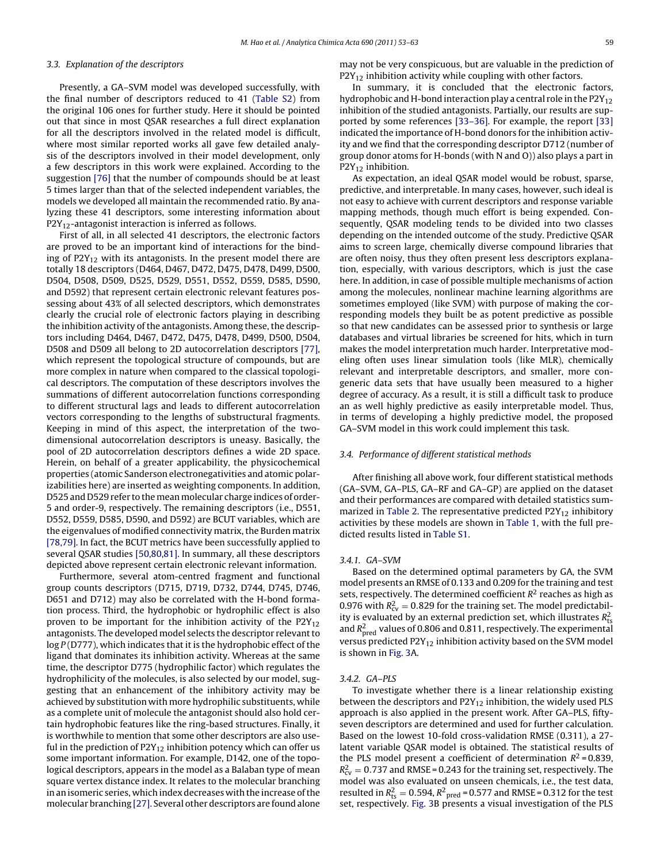### 3.3. Explanation of the descriptors

Presently, a GA–SVM model was developed successfully, with the final number of descriptors reduced to 41 [\(Table S2\)](#page-9-0) from the original 106 ones for further study. Here it should be pointed out that since in most QSAR researches a full direct explanation for all the descriptors involved in the related model is difficult, where most similar reported works all gave few detailed analysis of the descriptors involved in their model development, only a few descriptors in this work were explained. According to the suggestion [\[76\]](#page-10-0) that the number of compounds should be at least 5 times larger than that of the selected independent variables, the models we developed all maintain the recommended ratio. By analyzing these 41 descriptors, some interesting information about  $P2Y_{12}$ -antagonist interaction is inferred as follows.

First of all, in all selected 41 descriptors, the electronic factors are proved to be an important kind of interactions for the binding of  $P2Y_{12}$  with its antagonists. In the present model there are totally 18 descriptors (D464, D467, D472, D475, D478, D499, D500, D504, D508, D509, D525, D529, D551, D552, D559, D585, D590, and D592) that represent certain electronic relevant features possessing about 43% of all selected descriptors, which demonstrates clearly the crucial role of electronic factors playing in describing the inhibition activity of the antagonists. Among these, the descriptors including D464, D467, D472, D475, D478, D499, D500, D504, D508 and D509 all belong to 2D autocorrelation descriptors [\[77\],](#page-10-0) which represent the topological structure of compounds, but are more complex in nature when compared to the classical topological descriptors. The computation of these descriptors involves the summations of different autocorrelation functions corresponding to different structural lags and leads to different autocorrelation vectors corresponding to the lengths of substructural fragments. Keeping in mind of this aspect, the interpretation of the twodimensional autocorrelation descriptors is uneasy. Basically, the pool of 2D autocorrelation descriptors defines a wide 2D space. Herein, on behalf of a greater applicability, the physicochemical properties (atomic Sanderson electronegativities and atomic polarizabilities here) are inserted as weighting components. In addition, D525 and D529 refer to the mean molecular charge indices of order-5 and order-9, respectively. The remaining descriptors (i.e., D551, D552, D559, D585, D590, and D592) are BCUT variables, which are the eigenvalues of modified connectivity matrix, the Burden matrix [\[78,79\]. I](#page-10-0)n fact, the BCUT metrics have been successfully applied to several QSAR studies [\[50,80,81\]. I](#page-9-0)n summary, all these descriptors depicted above represent certain electronic relevant information.

Furthermore, several atom-centred fragment and functional group counts descriptors (D715, D719, D732, D744, D745, D746, D651 and D712) may also be correlated with the H-bond formation process. Third, the hydrophobic or hydrophilic effect is also proven to be important for the inhibition activity of the  $P2Y_{12}$ antagonists. The developed model selects the descriptor relevant to  $log P(D777)$ , which indicates that it is the hydrophobic effect of the ligand that dominates its inhibition activity. Whereas at the same time, the descriptor D775 (hydrophilic factor) which regulates the hydrophilicity of the molecules, is also selected by our model, suggesting that an enhancement of the inhibitory activity may be achieved by substitution with more hydrophilic substituents, while as a complete unit of molecule the antagonist should also hold certain hydrophobic features like the ring-based structures. Finally, it is worthwhile to mention that some other descriptors are also useful in the prediction of  $P2Y_{12}$  inhibition potency which can offer us some important information. For example, D142, one of the topological descriptors, appears in the model as a Balaban type of mean square vertex distance index. It relates to the molecular branching in an isomeric series, which index decreases with the increase of the molecular branching [\[27\]. S](#page-9-0)everal other descriptors are found alone

may not be very conspicuous, but are valuable in the prediction of  $P2Y_{12}$  inhibition activity while coupling with other factors.

In summary, it is concluded that the electronic factors, hydrophobic and H-bond interaction play a central role in the  $P2Y_{12}$ inhibition of the studied antagonists. Partially, our results are supported by some references [\[33–36\]. F](#page-9-0)or example, the report [\[33\]](#page-9-0) indicated the importance of H-bond donors for the inhibition activity and we find that the corresponding descriptor D712 (number of group donor atoms for H-bonds (with N and O)) also plays a part in  $P2Y_{12}$  inhibition.

As expectation, an ideal QSAR model would be robust, sparse, predictive, and interpretable. In many cases, however, such ideal is not easy to achieve with current descriptors and response variable mapping methods, though much effort is being expended. Consequently, QSAR modeling tends to be divided into two classes depending on the intended outcome of the study. Predictive QSAR aims to screen large, chemically diverse compound libraries that are often noisy, thus they often present less descriptors explanation, especially, with various descriptors, which is just the case here. In addition, in case of possible multiple mechanisms of action among the molecules, nonlinear machine learning algorithms are sometimes employed (like SVM) with purpose of making the corresponding models they built be as potent predictive as possible so that new candidates can be assessed prior to synthesis or large databases and virtual libraries be screened for hits, which in turn makes the model interpretation much harder. Interpretative modeling often uses linear simulation tools (like MLR), chemically relevant and interpretable descriptors, and smaller, more congeneric data sets that have usually been measured to a higher degree of accuracy. As a result, it is still a difficult task to produce an as well highly predictive as easily interpretable model. Thus, in terms of developing a highly predictive model, the proposed GA–SVM model in this work could implement this task.

#### 3.4. Performance of different statistical methods

After finishing all above work, four different statistical methods (GA–SVM, GA–PLS, GA–RF and GA–GP) are applied on the dataset and their performances are compared with detailed statistics sum-marized in [Table 2. T](#page-7-0)he representative predicted  $P2Y_{12}$  inhibitory activities by these models are shown in [Table 1, w](#page-2-0)ith the full predicted results listed in [Table S1.](#page-9-0)

#### 3.4.1. GA–SVM

Based on the determined optimal parameters by GA, the SVM model presents an RMSE of 0.133 and 0.209 for the training and test sets, respectively. The determined coefficient  $R^2$  reaches as high as 0.976 with  $R_{\text{cv}}^2 = 0.829$  for the training set. The model predictability is evaluated by an external prediction set, which illustrates  $R_{ts}^2$ and  $R^2_{\text{pred}}$  values of 0.806 and 0.811, respectively. The experimental versus predicted  $P2Y_{12}$  inhibition activity based on the SVM model is shown in [Fig. 3A](#page-7-0).

### 3.4.2. GA–PLS

To investigate whether there is a linear relationship existing between the descriptors and  $P2Y_{12}$  inhibition, the widely used PLS approach is also applied in the present work. After GA–PLS, fiftyseven descriptors are determined and used for further calculation. Based on the lowest 10-fold cross-validation RMSE (0.311), a 27 latent variable QSAR model is obtained. The statistical results of the PLS model present a coefficient of determination  $R^2 = 0.839$ ,  $R_{\text{cv}}^2 = 0.737$  and RMSE = 0.243 for the training set, respectively. The model was also evaluated on unseen chemicals, i.e., the test data, resulted in  $R_{\text{ts}}^2 = 0.594$ ,  $R_{\text{pred}}^2 = 0.577$  and RMSE = 0.312 for the test set, respectively. [Fig. 3B](#page-7-0) presents a visual investigation of the PLS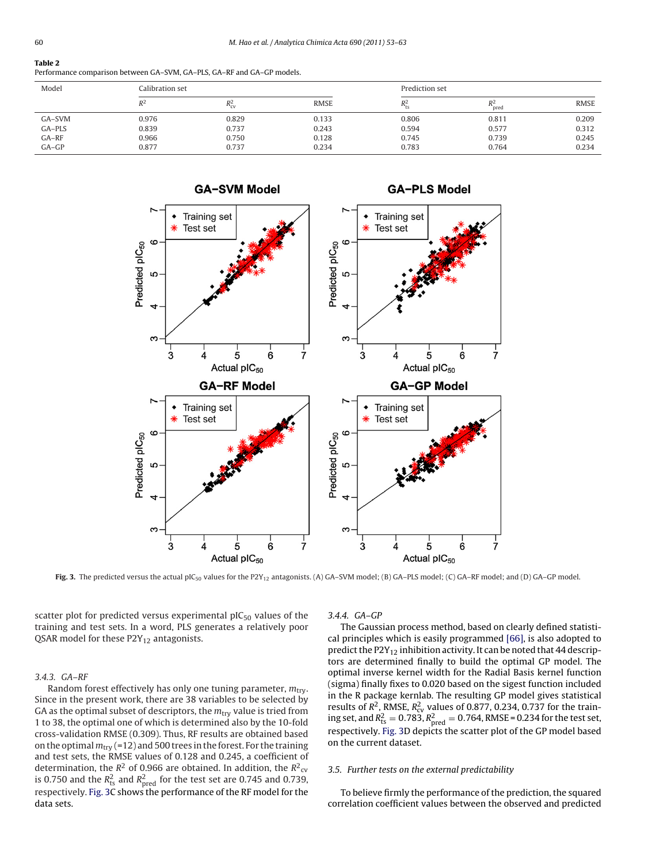# <span id="page-7-0"></span>**Table 2**

Performance comparison between GA–SVM, GA–PLS, GA–RF and GA–GP models.

| Model   | Calibration set |                |             | Prediction set    |                   |             |  |
|---------|-----------------|----------------|-------------|-------------------|-------------------|-------------|--|
|         | $R^2$           | $R_{\rm cv}^2$ | <b>RMSE</b> | $R_{\text{ts}}^2$ | $n_{\text{pred}}$ | <b>RMSE</b> |  |
| GA-SVM  | 0.976           | 0.829          | 0.133       | 0.806             | 0.811             | 0.209       |  |
| GA-PLS  | 0.839           | 0.737          | 0.243       | 0.594             | 0.577             | 0.312       |  |
| $GA-RF$ | 0.966           | 0.750          | 0.128       | 0.745             | 0.739             | 0.245       |  |
| $GA-GP$ | 0.877           | 0.737          | 0.234       | 0.783             | 0.764             | 0.234       |  |



Fig. 3. The predicted versus the actual pIC<sub>50</sub> values for the P2Y<sub>12</sub> antagonists. (A) GA–SVM model; (B) GA–PLS model; (C) GA–RF model; and (D) GA–GP model.

scatter plot for predicted versus experimental  $plC_{50}$  values of the training and test sets. In a word, PLS generates a relatively poor QSAR model for these  $P2Y_{12}$  antagonists.

# 3.4.3. GA–RF

Random forest effectively has only one tuning parameter,  $m_{\text{try}}$ . Since in the present work, there are 38 variables to be selected by GA as the optimal subset of descriptors, the  $m_{\text{try}}$  value is tried from 1 to 38, the optimal one of which is determined also by the 10-fold cross-validation RMSE (0.309). Thus, RF results are obtained based on the optimal  $m_{\text{try}}$  (=12) and 500 trees in the forest. For the training and test sets, the RMSE values of 0.128 and 0.245, a coefficient of determination, the  $R^2$  of 0.966 are obtained. In addition, the  $R^2$ <sub>cv</sub> is 0.750 and the  $R^2_{\text{ts}}$  and  $R^2_{\text{pred}}$  for the test set are 0.745 and 0.739, respectively. Fig. 3C shows the performance of the RF model for the data sets.

### 3.4.4. GA–GP

The Gaussian process method, based on clearly defined statistical principles which is easily programmed [\[66\], i](#page-9-0)s also adopted to predict the P2Y<sub>12</sub> inhibition activity. It can be noted that 44 descriptors are determined finally to build the optimal GP model. The optimal inverse kernel width for the Radial Basis kernel function (sigma) finally fixes to 0.020 based on the sigest function included in the R package kernlab. The resulting GP model gives statistical results of  $R^2$ , RMSE,  $R_{\text{cv}}^2$  values of 0.877, 0.234, 0.737 for the training set, and  $R^2_{\text{ts}} = 0.783$ ,  $R^2_{\text{pred}} = 0.764$ , RMSE = 0.234 for the test set, respectively. Fig. 3D depicts the scatter plot of the GP model based on the current dataset.

#### 3.5. Further tests on the external predictability

To believe firmly the performance of the prediction, the squared correlation coefficient values between the observed and predicted

**GA-PLS Model**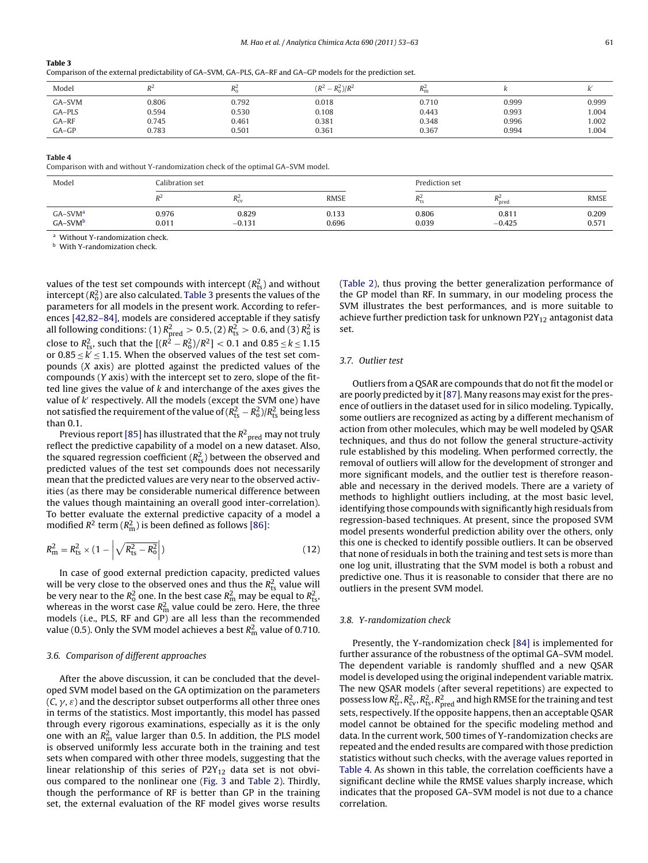#### **Table 3**

Comparison of the external predictability of GA–SVM, GA–PLS, GA–RF and GA–GP models for the prediction set.

| Model      | D <sub>2</sub> | D <sub>2</sub><br>$\mathbf{1}$ | $-R_0^2)/R^2$<br>$'R^2$ | D <sub>2</sub><br>$n_{m}$ |       |       |
|------------|----------------|--------------------------------|-------------------------|---------------------------|-------|-------|
| GA-SVM     | 0.806          | 0.792                          | 0.018                   | 0.710                     | 0.999 | 0.999 |
| GA-PLS     | 0.594          | 0.530                          | 0.108                   | 0.443                     | 0.993 | 1.004 |
| GA-RF      | 0.745          | 0.461                          | 0.381                   | 0.348                     | 0.996 | 1.002 |
| $G A - GP$ | 0.783          | 0.501                          | 0.361                   | 0.367                     | 0.994 | 1.004 |

#### **Table 4**

Comparison with and without Y-randomization check of the optimal GA–SVM model.

| Model     | Calibration set                |                |             | Prediction set     |             |             |  |
|-----------|--------------------------------|----------------|-------------|--------------------|-------------|-------------|--|
|           | D <sup>2</sup><br>$\mathbf{v}$ | DΖ<br>$n_{CV}$ | <b>RMSE</b> | D2<br>$\mathbf{A}$ | D2<br>"pred | <b>RMSE</b> |  |
| $GA-SVMa$ | 0.976                          | 0.829          | 0.133       | 0.806              | 0.811       | 0.209       |  |
| $GA-SVMb$ | 0.011                          | $-0.131$       | 0.696       | 0.039              | $-0.425$    | 0.571       |  |

<sup>a</sup> Without Y-randomization check.

<sup>b</sup> With Y-randomization check.

values of the test set compounds with intercept  $(R^2_{ts})$  and without intercept ( $R_0^2$ ) are also calculated. Table 3 presents the values of the parameters for all models in the present work. According to references [\[42,82–84\], m](#page-9-0)odels are considered acceptable if they satisfy all following conditions: (1)  $R_{\rm pred}^2 > 0.5$ , (2)  $R_{\rm ts}^2 > 0.6$ , and (3)  $R_0^2$  is close to  $R^2_{\text{ts}}$ , such that the  $[(R^2 - R_0^2)/R^2] < 0.1$  and  $0.85 \le k \le 1.15$ or  $0.85 \leq \tilde{k} \leq 1.15$ . When the observed values of the test set compounds (X axis) are plotted against the predicted values of the compounds (Y axis) with the intercept set to zero, slope of the fitted line gives the value of  $k$  and interchange of the axes gives the value of  $k'$  respectively. All the models (except the SVM one) have not satisfied the requirement of the value of ( $R^2_{\rm ts} - R^2_{\rm o}$ )/ $R^2_{\rm ts}$  being less than 0.1.

Previous report [\[85\]](#page-10-0) has illustrated that the  $R^2_{\ \, {\rm pred}}$  may not truly reflect the predictive capability of a model on a new dataset. Also, the squared regression coefficient ( $R^2_{\text{ts}}$ ) between the observed and predicted values of the test set compounds does not necessarily mean that the predicted values are very near to the observed activities (as there may be considerable numerical difference between the values though maintaining an overall good inter-correlation). To better evaluate the external predictive capacity of a model a modified  $R^2$  term  $(R_{\rm m}^2)$  is been defined as follows [\[86\]:](#page-10-0)

$$
R_{\rm m}^2 = R_{\rm ts}^2 \times (1 - \left| \sqrt{R_{\rm ts}^2 - R_0^2} \right|) \tag{12}
$$

In case of good external prediction capacity, predicted values will be very close to the observed ones and thus the  $R_{ts}^2$  value will be very near to the  $R_0^2$  one. In the best case  $R_{\rm m}^2$  may be equal to  $R_{\rm ts}^2$ , whereas in the worst case  $R_{\rm m}^2$  value could be zero. Here, the three models (i.e., PLS, RF and GP) are all less than the recommended value (0.5). Only the SVM model achieves a best  $R_{\rm m}^2$  value of 0.710.

#### 3.6. Comparison of different approaches

After the above discussion, it can be concluded that the developed SVM model based on the GA optimization on the parameters (C,  $\gamma$ ,  $\varepsilon$ ) and the descriptor subset outperforms all other three ones in terms of the statistics. Most importantly, this model has passed through every rigorous examinations, especially as it is the only one with an  $R_{\rm m}^2$  value larger than 0.5. In addition, the PLS model is observed uniformly less accurate both in the training and test sets when compared with other three models, suggesting that the linear relationship of this series of  $P2Y_{12}$  data set is not obvious compared to the nonlinear one ([Fig. 3](#page-7-0) and [Table 2\).](#page-7-0) Thirdly, though the performance of RF is better than GP in the training set, the external evaluation of the RF model gives worse results [\(Table 2\),](#page-7-0) thus proving the better generalization performance of the GP model than RF. In summary, in our modeling process the SVM illustrates the best performances, and is more suitable to achieve further prediction task for unknown  $P2Y_{12}$  antagonist data set.

## 3.7. Outlier test

Outliers from a QSAR are compounds that do not fit the model or are poorly predicted by it [\[87\]. M](#page-10-0)any reasons may exist for the presence of outliers in the dataset used for in silico modeling. Typically, some outliers are recognized as acting by a different mechanism of action from other molecules, which may be well modeled by QSAR techniques, and thus do not follow the general structure-activity rule established by this modeling. When performed correctly, the removal of outliers will allow for the development of stronger and more significant models, and the outlier test is therefore reasonable and necessary in the derived models. There are a variety of methods to highlight outliers including, at the most basic level, identifying those compounds with significantly high residuals from regression-based techniques. At present, since the proposed SVM model presents wonderful prediction ability over the others, only this one is checked to identify possible outliers. It can be observed that none of residuals in both the training and test sets is more than one log unit, illustrating that the SVM model is both a robust and predictive one. Thus it is reasonable to consider that there are no outliers in the present SVM model.

#### 3.8. Y-randomization check

Presently, the Y-randomization check [\[84\]](#page-10-0) is implemented for further assurance of the robustness of the optimal GA–SVM model. The dependent variable is randomly shuffled and a new QSAR model is developed using the original independent variable matrix. The new QSAR models (after several repetitions) are expected to possess low  $R_{\text{tr}}^2$ ,  $R_{\text{cv}}^2$ ,  $R_{\text{ls}}^2$ ,  $R_{\text{pred}}^2$  and high RMSE for the training and test sets, respectively. If the opposite happens, then an acceptable QSAR model cannot be obtained for the specific modeling method and data. In the current work, 500 times of Y-randomization checks are repeated and the ended results are compared with those prediction statistics without such checks, with the average values reported in Table 4. As shown in this table, the correlation coefficients have a significant decline while the RMSE values sharply increase, which indicates that the proposed GA–SVM model is not due to a chance correlation.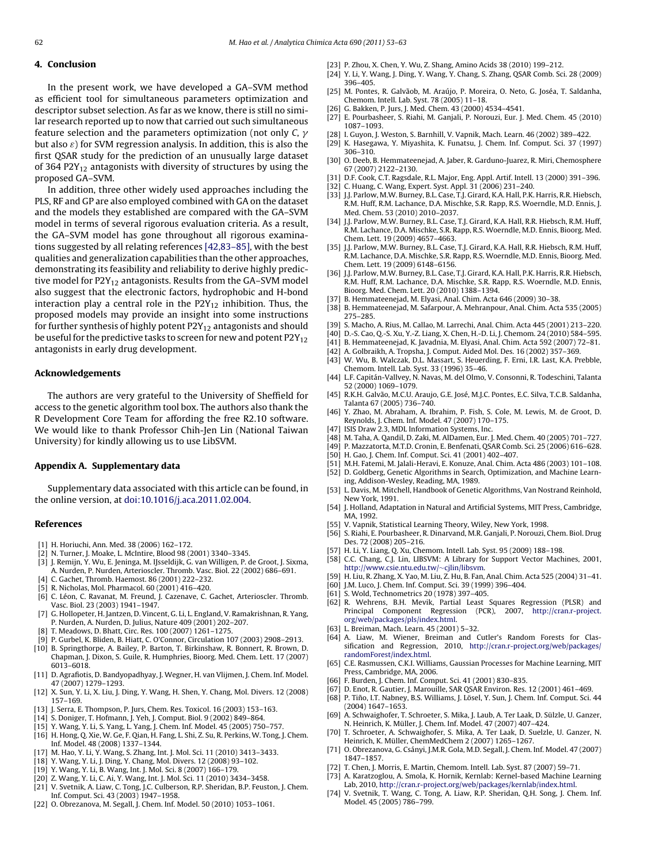#### <span id="page-9-0"></span>**4. Conclusion**

In the present work, we have developed a GA–SVM method as efficient tool for simultaneous parameters optimization and descriptor subset selection. As far as we know, there is still no similar research reported up to now that carried out such simultaneous feature selection and the parameters optimization (not only C,  $\gamma$ but also  $\varepsilon$ ) for SVM regression analysis. In addition, this is also the first QSAR study for the prediction of an unusually large dataset of 364 P2 $Y_{12}$  antagonists with diversity of structures by using the proposed GA–SVM.

In addition, three other widely used approaches including the PLS, RF and GP are also employed combined with GA on the dataset and the models they established are compared with the GA–SVM model in terms of several rigorous evaluation criteria. As a result, the GA–SVM model has gone throughout all rigorous examinations suggested by all relating references [42,83–85], with the best qualities and generalization capabilities than the other approaches, demonstrating its feasibility and reliability to derive highly predictive model for  $P2Y_{12}$  antagonists. Results from the GA–SVM model also suggest that the electronic factors, hydrophobic and H-bond interaction play a central role in the  $P2Y_{12}$  inhibition. Thus, the proposed models may provide an insight into some instructions for further synthesis of highly potent  $P2Y_{12}$  antagonists and should be useful for the predictive tasks to screen for new and potent  $P2Y_{12}$ antagonists in early drug development.

#### **Acknowledgements**

The authors are very grateful to the University of Sheffield for access to the genetic algorithm tool box. The authors also thank the R Development Core Team for affording the free R2.10 software. We would like to thank Professor Chih-Jen Lin (National Taiwan University) for kindly allowing us to use LibSVM.

#### **Appendix A. Supplementary data**

Supplementary data associated with this article can be found, in the online version, at [doi:10.1016/j.aca.2011.02.004.](http://dx.doi.org/10.1016/j.aca.2011.02.004)

#### **References**

- [1] H. Horiuchi, Ann. Med. 38 (2006) 162–172.
- [2] N. Turner, J. Moake, L. McIntire, Blood 98 (2001) 3340–3345.
- [3] J. Remijn, Y. Wu, E. Jeninga, M. IJsseldijk, G. van Willigen, P. de Groot, J. Sixma, A. Nurden, P. Nurden, Arterioscler. Thromb. Vasc. Biol. 22 (2002) 686–691.
- [4] C. Gachet, Thromb. Haemost. 86 (2001) 222-232.
- [5] R. Nicholas, Mol. Pharmacol. 60 (2001) 416–420.
- [6] C. Léon, C. Ravanat, M. Freund, J. Cazenave, C. Gachet, Arterioscler. Thromb. Vasc. Biol. 23 (2003) 1941–1947.
- [7] G. Hollopeter, H. Jantzen, D. Vincent, G. Li, L. England, V. Ramakrishnan, R. Yang, P. Nurden, A. Nurden, D. Julius, Nature 409 (2001) 202–207.
- [8] T. Meadows, D. Bhatt, Circ. Res. 100 (2007) 1261–1275.
- [9] P. Gurbel, K. Bliden, B. Hiatt, C. O'Connor, Circulation 107 (2003) 2908–2913.
- [10] B. Springthorpe, A. Bailey, P. Barton, T. Birkinshaw, R. Bonnert, R. Brown, D. Chapman, J. Dixon, S. Guile, R. Humphries, Bioorg. Med. Chem. Lett. 17 (2007) 6013–6018.
- [11] D. Agrafiotis, D. Bandyopadhyay, J. Wegner, H. van Vlijmen, J. Chem. Inf. Model. 47 (2007) 1279–1293.
- [12] X. Sun, Y. Li, X. Liu, J. Ding, Y. Wang, H. Shen, Y. Chang, Mol. Divers. 12 (2008) 157–169.
- [13] J. Serra, E. Thompson, P. Jurs, Chem. Res. Toxicol. 16 (2003) 153–163.
- [14] S. Doniger, T. Hofmann, J. Yeh, J. Comput. Biol. 9 (2002) 849–864.
- [15] Y. Wang, Y. Li, S. Yang, L. Yang, J. Chem. Inf. Model. 45 (2005) 750–757. [16] H. Hong, Q. Xie, W. Ge, F. Qian, H. Fang, L. Shi, Z. Su, R. Perkins, W. Tong, J. Chem. Inf. Model. 48 (2008) 1337–1344.
- 
- [17] M. Hao, Y. Li, Y. Wang, S. Zhang, Int. J. Mol. Sci. 11 (2010) 3413–3433. [18] Y. Wang, Y. Li, J. Ding, Y. Chang, Mol. Divers. 12 (2008) 93–102.
- [19] Y. Wang, Y. Li, B. Wang, Int. J. Mol. Sci. 8 (2007) 166–179.
- 
- [20] Z. Wang, Y. Li, C. Ai, Y. Wang, Int. J. Mol. Sci. 11 (2010) 3434–3458. [21] V. Svetnik, A. Liaw, C. Tong, J.C. Culberson, R.P. Sheridan, B.P. Feuston, J. Chem. Inf. Comput. Sci. 43 (2003) 1947–1958.
- [22] O. Obrezanova, M. Segall, J. Chem. Inf. Model. 50 (2010) 1053–1061.
- [23] P. Zhou, X. Chen, Y. Wu, Z. Shang, Amino Acids 38 (2010) 199–212.
- [24] Y. Li, Y. Wang, J. Ding, Y. Wang, Y. Chang, S. Zhang, QSAR Comb. Sci. 28 (2009) 396–405.
- [25] M. Pontes, R. Galvãob, M. Araújo, P. Moreira, O. Neto, G. Joséa, T. Saldanha, Chemom. Intell. Lab. Syst. 78 (2005) 11–18.
- [26] G. Bakken, P. Jurs, J. Med. Chem. 43 (2000) 4534–4541.
- [27] E. Pourbasheer, S. Riahi, M. Ganjali, P. Norouzi, Eur. J. Med. Chem. 45 (2010) 1087–1093.
- [28] I. Guyon, J. Weston, S. Barnhill, V. Vapnik, Mach. Learn. 46 (2002) 389–422.
- [29] K. Hasegawa, Y. Miyashita, K. Funatsu, J. Chem. Inf. Comput. Sci. 37 (1997) 306–310.
- [30] O. Deeb, B. Hemmateenejad, A. Jaber, R. Garduno-Juarez, R. Miri, Chemosphere 67 (2007) 2122–2130.
- [31] D.F. Cook, C.T. Ragsdale, R.L. Major, Eng. Appl. Artif. Intell. 13 (2000) 391–396.
- [32] C. Huang, C. Wang, Expert. Syst. Appl. 31 (2006) 231–240.
- [33] J.J. Parlow, M.W. Burney, B.L. Case, T.J. Girard, K.A. Hall, P.K. Harris, R.R. Hiebsch, R.M. Huff, R.M. Lachance, D.A. Mischke, S.R. Rapp, R.S. Woerndle, M.D. Ennis, J. Med. Chem. 53 (2010) 2010–2037.
- [34] J.J. Parlow, M.W. Burney, B.L. Case, T.J. Girard, K.A. Hall, R.R. Hiebsch, R.M. Huff, R.M. Lachance, D.A. Mischke, S.R. Rapp, R.S. Woerndle, M.D. Ennis, Bioorg. Med. Chem. Lett. 19 (2009) 4657–4663.
- [35] J.J. Parlow, M.W. Burney, B.L. Case, T.J. Girard, K.A. Hall, R.R. Hiebsch, R.M. Huff, R.M. Lachance, D.A. Mischke, S.R. Rapp, R.S. Woerndle, M.D. Ennis, Bioorg. Med. Chem. Lett. 19 (2009) 6148–6156.
- [36] J.J. Parlow, M.W. Burney, B.L. Case, T.J. Girard, K.A. Hall, P.K. Harris, R.R. Hiebsch, R.M. Huff, R.M. Lachance, D.A. Mischke, S.R. Rapp, R.S. Woerndle, M.D. Ennis, Bioorg. Med. Chem. Lett. 20 (2010) 1388–1394.
- B. Hemmateenejad, M. Elyasi, Anal. Chim. Acta 646 (2009) 30-38.
- [38] B. Hemmateenejad, M. Safarpour, A. Mehranpour, Anal. Chim. Acta 535 (2005) 275–285.
- [39] S. Macho, A. Rius, M. Callao, M. Larrechi, Anal. Chim. Acta 445 (2001) 213–220.
- [40] D.-S. Cao, Q.-S. Xu, Y.-Z. Liang, X. Chen, H.-D. Li, J. Chemom. 24 (2010) 584–595.
- [41] B. Hemmateenejad, K. Javadnia, M. Elyasi, Anal. Chim. Acta 592 (2007) 72–81.
- [42] A. Golbraikh, A. Tropsha, J. Comput. Aided Mol. Des. 16 (2002) 357–369.
- [43] W. Wu, B. Walczak, D.L. Massart, S. Heuerding, F. Erni, I.R. Last, K.A. Prebble, Chemom. Intell. Lab. Syst. 33 (1996) 35–46.
- [44] L.F. Capitán-Vallvey, N. Navas, M. del Olmo, V. Consonni, R. Todeschini, Talanta 52 (2000) 1069–1079.
- [45] R.K.H. Galvão, M.C.U. Araujo, G.E. José, M.J.C. Pontes, E.C. Silva, T.C.B. Saldanha, Talanta 67 (2005) 736–740.
- [46] Y. Zhao, M. Abraham, A. Ibrahim, P. Fish, S. Cole, M. Lewis, M. de Groot, D. Reynolds, J. Chem. Inf. Model. 47 (2007) 170–175.
- [47] ISIS Draw 2.3, MDL Information Systems, Inc.
- [48] M. Taha, A. Qandil, D. Zaki, M. AlDamen, Eur. J. Med. Chem. 40 (2005) 701–727.
- [49] P. Mazzatorta, M.T.D. Cronin, E. Benfenati, QSAR Comb. Sci. 25 (2006) 616–628.
- [50] H. Gao, J. Chem. Inf. Comput. Sci. 41 (2001) 402–407.
- [51] M.H. Fatemi, M. Jalali-Heravi, E. Konuze, Anal. Chim. Acta 486 (2003) 101–108. [52] D. Goldberg, Genetic Algorithms in Search, Optimization, and Machine Learn-
- ing, Addison-Wesley, Reading, MA, 1989. [53] L. Davis, M. Mitchell, Handbook of Genetic Algorithms, Van Nostrand Reinhold,
- New York, 1991.
- [54] J. Holland, Adaptation in Natural and Artificial Systems, MIT Press, Cambridge, MA, 1992.
- [55] V. Vapnik, Statistical Learning Theory, Wiley, New York, 1998.
- [56] S. Riahi, E. Pourbasheer, R. Dinarvand, M.R. Ganjali, P. Norouzi, Chem. Biol. Drug Des. 72 (2008) 205–216.
- H. Li, Y. Liang, Q. Xu, Chemom. Intell. Lab. Syst. 95 (2009) 188-198.
- [58] C.C. Chang, C.J. Lin, LIBSVM: A Library for Support Vector Machines, 2001, [http://www.csie.ntu.edu.tw/](http://www.csie.ntu.edu.tw/~cjlin/libsvm)∼cjlin/libsvm.
- [59] H. Liu, R. Zhang, X. Yao, M. Liu, Z. Hu, B. Fan, Anal. Chim. Acta 525 (2004) 31–41.
- [60] J.M. Luco, J. Chem. Inf. Comput. Sci. 39 (1999) 396-404.
- [61] S. Wold, Technometrics 20 (1978) 397–405.
- [62] R. Wehrens, B.H. Mevik, Partial Least Squares Regression (PLSR) and Principal Component Regression (PCR), 2007, [http://cran.r-project.](http://cran.r-project.org/web/packages/pls/index.html) org/web/packages/pls/index.html.
- [63] L. Breiman, Mach. Learn. 45 (2001) 5–32.
- [64] A. Liaw, M. Wiener, Breiman and Cutler's Random Forests for Classification and Regression, 2010, [http://cran.r-project.org/web/packages/](http://cran.r-project.org/web/packages/randomForest/index.html) randomForest/index.html.
- [65] C.E. Rasmussen, C.K.I. Williams, Gaussian Processes for Machine Learning, MIT Press, Cambridge, MA, 2006.
- [66] F. Burden, J. Chem. Inf. Comput. Sci. 41 (2001) 830–835.
- [67] D. Enot, R. Gautier, J. Marouille, SAR QSAR Environ. Res. 12 (2001) 461–469.
- [68] P. Tiño, I.T. Nabney, B.S. Williams, J. Lösel, Y. Sun, J. Chem. Inf. Comput. Sci. 44 (2004) 1647–1653.
- [69] A. Schwaighofer, T. Schroeter, S. Mika, J. Laub, A. Ter Laak, D. Sülzle, U. Ganzer, N. Heinrich, K. Müller, J. Chem. Inf. Model. 47 (2007) 407–424.
- [70] T. Schroeter, A. Schwaighofer, S. Mika, A. Ter Laak, D. Suelzle, U. Ganzer, N. Heinrich, K. Müller, ChemMedChem 2 (2007) 1265–1267.
- [71] O. Obrezanova, G. Csányi, J.M.R. Gola, M.D. Segall, J. Chem. Inf. Model. 47 (2007) 1847–1857.
- [72] T. Chen, J. Morris, E. Martin, Chemom. Intell. Lab. Syst. 87 (2007) 59–71.
- [73] A. Karatzoglou, A. Smola, K. Hornik, Kernlab: Kernel-based Machine Learning Lab, 2010, [http://cran.r-project.org/web/packages/kernlab/index.html.](http://cran.r-project.org/web/packages/kernlab/index.html)
- [74] V. Svetnik, T. Wang, C. Tong, A. Liaw, R.P. Sheridan, Q.H. Song, J. Chem. Inf. Model. 45 (2005) 786–799.